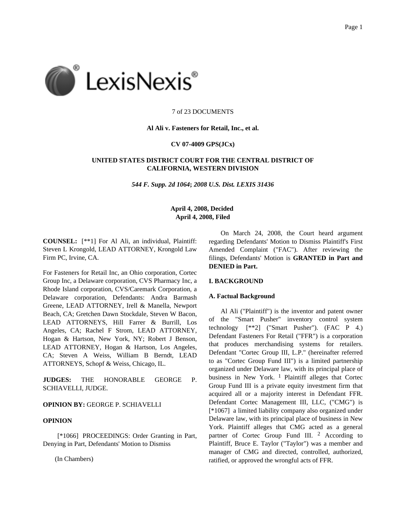

## 7 of 23 DOCUMENTS

## **Al Ali v. Fasteners for Retail, Inc., et al.**

## **CV 07-4009 GPS(JCx)**

# **UNITED STATES DISTRICT COURT FOR THE CENTRAL DISTRICT OF CALIFORNIA, WESTERN DIVISION**

*544 F. Supp. 2d 1064***;** *2008 U.S. Dist. LEXIS 31436*

# **April 4, 2008, Decided April 4, 2008, Filed**

**COUNSEL:** [\*\*1] For Al Ali, an individual, Plaintiff: Steven L Krongold, LEAD ATTORNEY, Krongold Law Firm PC, Irvine, CA.

For Fasteners for Retail Inc, an Ohio corporation, Cortec Group Inc, a Delaware corporation, CVS Pharmacy Inc, a Rhode Island corporation, CVS/Caremark Corporation, a Delaware corporation, Defendants: Andra Barmash Greene, LEAD ATTORNEY, Irell & Manella, Newport Beach, CA; Gretchen Dawn Stockdale, Steven W Bacon, LEAD ATTORNEYS, Hill Farrer & Burrill, Los Angeles, CA; Rachel F Strom, LEAD ATTORNEY, Hogan & Hartson, New York, NY; Robert J Benson, LEAD ATTORNEY, Hogan & Hartson, Los Angeles, CA; Steven A Weiss, William B Berndt, LEAD ATTORNEYS, Schopf & Weiss, Chicago, IL.

**JUDGES:** THE HONORABLE GEORGE P. SCHIAVELLI, JUDGE.

# **OPINION BY:** GEORGE P. SCHIAVELLI

# **OPINION**

[\*1066] PROCEEDINGS: Order Granting in Part, Denying in Part, Defendants' Motion to Dismiss

(In Chambers)

On March 24, 2008, the Court heard argument regarding Defendants' Motion to Dismiss Plaintiff's First Amended Complaint ("FAC"). After reviewing the filings, Defendants' Motion is **GRANTED in Part and DENIED in Part.**

#### **I. BACKGROUND**

## **A. Factual Background**

Al Ali ("Plaintiff") is the inventor and patent owner of the "Smart Pusher" inventory control system technology [\*\*2] ("Smart Pusher"). (FAC P 4.) Defendant Fasteners For Retail ("FFR") is a corporation that produces merchandising systems for retailers. Defendant "Cortec Group III, L.P." (hereinafter referred to as "Cortec Group Fund III") is a limited partnership organized under Delaware law, with its principal place of business in New York.  $1$  Plaintiff alleges that Cortec Group Fund III is a private equity investment firm that acquired all or a majority interest in Defendant FFR. Defendant Cortec Management III, LLC, ("CMG") is [\*1067] a limited liability company also organized under Delaware law, with its principal place of business in New York. Plaintiff alleges that CMG acted as a general partner of Cortec Group Fund III. 2 According to Plaintiff, Bruce E. Taylor ("Taylor") was a member and manager of CMG and directed, controlled, authorized, ratified, or approved the wrongful acts of FFR.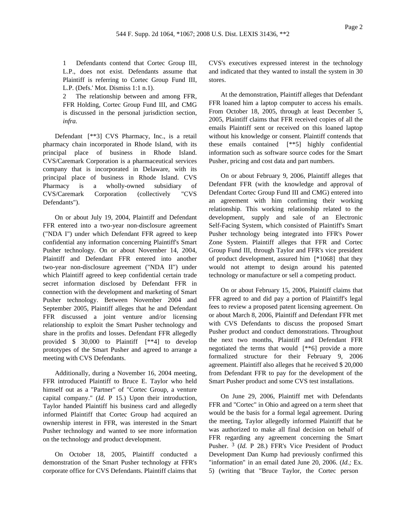1 Defendants contend that Cortec Group III, L.P., does not exist. Defendants assume that Plaintiff is referring to Cortec Group Fund III, L.P. (Defs.' Mot. Dismiss 1:1 n.1).

2 The relationship between and among FFR, FFR Holding, Cortec Group Fund III, and CMG is discussed in the personal jurisdiction section, *infra.*

Defendant [\*\*3] CVS Pharmacy, Inc., is a retail pharmacy chain incorporated in Rhode Island, with its principal place of business in Rhode Island. CVS/Caremark Corporation is a pharmaceutical services company that is incorporated in Delaware, with its principal place of business in Rhode Island. CVS Pharmacy is a wholly-owned subsidiary of CVS/Caremark Corporation (collectively "CVS Defendants").

On or about July 19, 2004, Plaintiff and Defendant FFR entered into a two-year non-disclosure agreement ("NDA I") under which Defendant FFR agreed to keep confidential any information concerning Plaintiff's Smart Pusher technology. On or about November 14, 2004, Plaintiff and Defendant FFR entered into another two-year non-disclosure agreement ("NDA II") under which Plaintiff agreed to keep confidential certain trade secret information disclosed by Defendant FFR in connection with the development and marketing of Smart Pusher technology. Between November 2004 and September 2005, Plaintiff alleges that he and Defendant FFR discussed a joint venture and/or licensing relationship to exploit the Smart Pusher technology and share in the profits and losses. Defendant FFR allegedly provided \$ 30,000 to Plaintiff [\*\*4] to develop prototypes of the Smart Pusher and agreed to arrange a meeting with CVS Defendants.

Additionally, during a November 16, 2004 meeting, FFR introduced Plaintiff to Bruce E. Taylor who held himself out as a "Partner" of "Cortec Group, a venture capital company." (*Id.* P 15.) Upon their introduction, Taylor handed Plaintiff his business card and allegedly informed Plaintiff that Cortec Group had acquired an ownership interest in FFR, was interested in the Smart Pusher technology and wanted to see more information on the technology and product development.

On October 18, 2005, Plaintiff conducted a demonstration of the Smart Pusher technology at FFR's corporate office for CVS Defendants. Plaintiff claims that CVS's executives expressed interest in the technology and indicated that they wanted to install the system in 30 stores.

At the demonstration, Plaintiff alleges that Defendant FFR loaned him a laptop computer to access his emails. From October 18, 2005, through at least December 5, 2005, Plaintiff claims that FFR received copies of all the emails Plaintiff sent or received on this loaned laptop without his knowledge or consent. Plaintiff contends that these emails contained [\*\*5] highly confidential information such as software source codes for the Smart Pusher, pricing and cost data and part numbers.

On or about February 9, 2006, Plaintiff alleges that Defendant FFR (with the knowledge and approval of Defendant Cortec Group Fund III and CMG) entered into an agreement with him confirming their working relationship. This working relationship related to the development, supply and sale of an Electronic Self-Facing System, which consisted of Plaintiff's Smart Pusher technology being integrated into FFR's Power Zone System. Plaintiff alleges that FFR and Cortec Group Fund III, through Taylor and FFR's vice president of product development, assured him [\*1068] that they would not attempt to design around his patented technology or manufacture or sell a competing product.

On or about February 15, 2006, Plaintiff claims that FFR agreed to and did pay a portion of Plaintiff's legal fees to review a proposed patent licensing agreement. On or about March 8, 2006, Plaintiff and Defendant FFR met with CVS Defendants to discuss the proposed Smart Pusher product and conduct demonstrations. Throughout the next two months, Plaintiff and Defendant FFR negotiated the terms that would [\*\*6] provide a more formalized structure for their February 9, 2006 agreement. Plaintiff also alleges that he received \$ 20,000 from Defendant FFR to pay for the development of the Smart Pusher product and some CVS test installations.

On June 29, 2006, Plaintiff met with Defendants FFR and "Cortec" in Ohio and agreed on a term sheet that would be the basis for a formal legal agreement. During the meeting, Taylor allegedly informed Plaintiff that he was authorized to make all final decision on behalf of FFR regarding any agreement concerning the Smart Pusher. 3 (*Id.* P 28.) FFR's Vice President of Product Development Dan Kump had previously confirmed this "information" in an email dated June 20, 2006. (*Id.;* Ex. 5) (writing that "Bruce Taylor, the Cortec person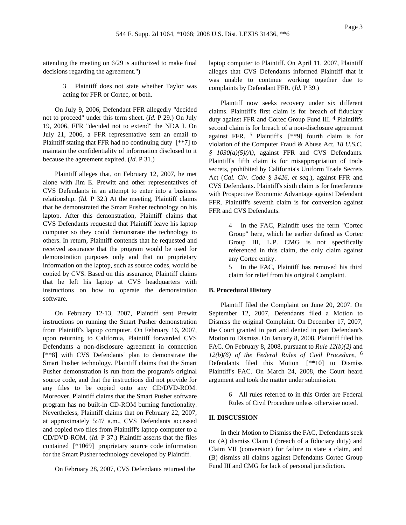attending the meeting on 6/29 is authorized to make final decisions regarding the agreement.")

> 3 Plaintiff does not state whether Taylor was acting for FFR or Cortec, or both.

On July 9, 2006, Defendant FFR allegedly "decided not to proceed" under this term sheet. (*Id.* P 29.) On July 19, 2006, FFR "decided not to extend" the NDA I. On July 21, 2006, a FFR representative sent an email to Plaintiff stating that FFR had no continuing duty [\*\*7] to maintain the confidentiality of information disclosed to it because the agreement expired. (*Id.* P 31.)

Plaintiff alleges that, on February 12, 2007, he met alone with Jim E. Prewitt and other representatives of CVS Defendants in an attempt to enter into a business relationship. (*Id.* P 32.) At the meeting, Plaintiff claims that he demonstrated the Smart Pusher technology on his laptop. After this demonstration, Plaintiff claims that CVS Defendants requested that Plaintiff leave his laptop computer so they could demonstrate the technology to others. In return, Plaintiff contends that he requested and received assurance that the program would be used for demonstration purposes only and that no proprietary information on the laptop, such as source codes, would be copied by CVS. Based on this assurance, Plaintiff claims that he left his laptop at CVS headquarters with instructions on how to operate the demonstration software.

On February 12-13, 2007, Plaintiff sent Prewitt instructions on running the Smart Pusher demonstration from Plaintiff's laptop computer. On February 16, 2007, upon returning to California, Plaintiff forwarded CVS Defendants a non-disclosure agreement in connection [\*\*8] with CVS Defendants' plan to demonstrate the Smart Pusher technology. Plaintiff claims that the Smart Pusher demonstration is run from the program's original source code, and that the instructions did not provide for any files to be copied onto any CD/DVD-ROM. Moreover, Plaintiff claims that the Smart Pusher software program has no built-in CD-ROM burning functionality. Nevertheless, Plaintiff claims that on February 22, 2007, at approximately 5:47 a.m., CVS Defendants accessed and copied two files from Plaintiff's laptop computer to a CD/DVD-ROM. (*Id.* P 37.) Plaintiff asserts that the files contained [\*1069] proprietary source code information for the Smart Pusher technology developed by Plaintiff.

On February 28, 2007, CVS Defendants returned the

laptop computer to Plaintiff. On April 11, 2007, Plaintiff alleges that CVS Defendants informed Plaintiff that it was unable to continue working together due to complaints by Defendant FFR. (*Id.* P 39.)

Plaintiff now seeks recovery under six different claims. Plaintiff's first claim is for breach of fiduciary duty against FFR and Cortec Group Fund III. 4 Plaintiff's second claim is for breach of a non-disclosure agreement against FFR. 5 Plaintiff's [\*\*9] fourth claim is for violation of the Computer Fraud & Abuse Act, *18 U.S.C. § 1030(a)(5)(A)*, against FFR and CVS Defendants. Plaintiff's fifth claim is for misappropriation of trade secrets, prohibited by California's Uniform Trade Secrets Act (*Cal. Civ. Code § 3426, et seq.*), against FFR and CVS Defendants. Plaintiff's sixth claim is for Interference with Prospective Economic Advantage against Defendant FFR. Plaintiff's seventh claim is for conversion against FFR and CVS Defendants.

> 4 In the FAC, Plaintiff uses the term "Cortec Group" here, which he earlier defined as Cortec Group III, L.P. CMG is not specifically referenced in this claim, the only claim against any Cortec entity.

> 5 In the FAC, Plaintiff has removed his third claim for relief from his original Complaint.

#### **B. Procedural History**

Plaintiff filed the Complaint on June 20, 2007. On September 12, 2007, Defendants filed a Motion to Dismiss the original Complaint. On December 17, 2007, the Court granted in part and denied in part Defendant's Motion to Dismiss. On January 8, 2008, Plaintiff filed his FAC. On February 8, 2008, pursuant to *Rule 12(b)(2)* and *12(b)(6) of the Federal Rules of Civil Procedure*, 6 Defendants filed this Motion [\*\*10] to Dismiss Plaintiff's FAC. On March 24, 2008, the Court heard argument and took the matter under submission.

> 6 All rules referred to in this Order are Federal Rules of Civil Procedure unless otherwise noted.

## **II. DISCUSSION**

In their Motion to Dismiss the FAC, Defendants seek to: (A) dismiss Claim I (breach of a fiduciary duty) and Claim VII (conversion) for failure to state a claim, and (B) dismiss all claims against Defendants Cortec Group Fund III and CMG for lack of personal jurisdiction.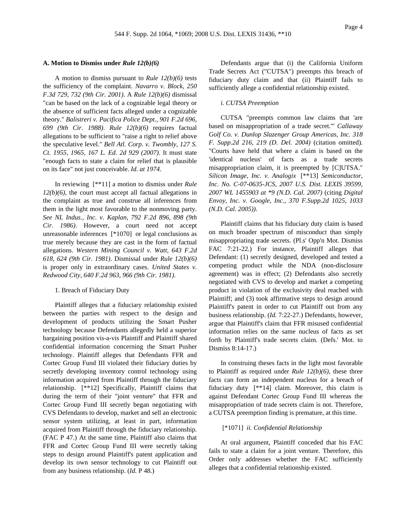## **A. Motion to Dismiss under** *Rule 12(b)(6)*

A motion to dismiss pursuant to *Rule 12(b)(6)* tests the sufficiency of the complaint. *Navarro v. Block, 250 F.3d 729, 732 (9th Cir. 2001)*. A *Rule 12(b)(6)* dismissal "can be based on the lack of a cognizable legal theory or the absence of sufficient facts alleged under a cognizable theory." *Balistreri v. Pacifica Police Dept., 901 F.2d 696, 699 (9th Cir. 1988)*. *Rule 12(b)(6)* requires factual allegations to be sufficient to "raise a right to relief above the speculative level." *Bell Atl. Corp. v. Twombly, 127 S. Ct. 1955, 1965, 167 L. Ed. 2d 929 (2007)*. It must state "enough facts to state a claim for relief that is plausible on its face" not just conceivable. *Id. at 1974*.

In reviewing [\*\*11] a motion to dismiss under *Rule 12(b)(6)*, the court must accept all factual allegations in the complaint as true and construe all inferences from them in the light most favorable to the nonmoving party. *See NL Indus., Inc. v. Kaplan, 792 F.2d 896, 898 (9th Cir. 1986)*. However, a court need not accept unreasonable inferences [\*1070] or legal conclusions as true merely because they are cast in the form of factual allegations. *Western Mining Council v. Watt, 643 F.2d 618, 624 (9th Cir. 1981)*. Dismissal under *Rule 12(b)(6)* is proper only in extraordinary cases. *United States v. Redwood City, 640 F.2d 963, 966 (9th Cir. 1981)*.

#### 1. Breach of Fiduciary Duty

Plaintiff alleges that a fiduciary relationship existed between the parties with respect to the design and development of products utilizing the Smart Pusher technology because Defendants allegedly held a superior bargaining position vis-a-vis Plaintiff and Plaintiff shared confidential information concerning the Smart Pusher technology. Plaintiff alleges that Defendants FFR and Cortec Group Fund III violated their fiduciary duties by secretly developing inventory control technology using information acquired from Plaintiff through the fiduciary relationship. [\*\*12] Specifically, Plaintiff claims that during the term of their "joint venture" that FFR and Cortec Group Fund III secretly began negotiating with CVS Defendants to develop, market and sell an electronic sensor system utilizing, at least in part, information acquired from Plaintiff through the fiduciary relationship. (FAC P 47.) At the same time, Plaintiff also claims that FFR and Cortec Group Fund III were secretly taking steps to design around Plaintiff's patent application and develop its own sensor technology to cut Plaintiff out from any business relationship. (*Id.* P 48.)

Defendants argue that (i) the California Uniform Trade Secrets Act ("CUTSA") preempts this breach of fiduciary duty claim and that (ii) Plaintiff fails to sufficiently allege a confidential relationship existed.

### *i. CUTSA Preemption*

CUTSA "preempts common law claims that 'are based on misappropriation of a trade secret.'" *Callaway Golf Co. v. Dunlop Slazenger Group Americas, Inc. 318 F. Supp.2d 216, 219 (D. Del. 2004)* (citation omitted). "Courts have held that where a claim is based on the 'identical nucleus' of facts as a trade secrets misappropriation claim, it is preempted by [C]UTSA." *Silicon Image, Inc. v. Analogix* [\*\*13] *Semiconductor, Inc. No. C-07-0635-JCS, 2007 U.S. Dist. LEXIS 39599, 2007 WL 1455903 at \*9 (N.D. Cal. 2007)* (citing *Digital Envoy, Inc. v. Google, Inc., 370 F.Supp.2d 1025, 1033 (N.D. Cal. 2005))*.

Plaintiff claims that his fiduciary duty claim is based on much broader spectrum of misconduct than simply misappropriating trade secrets. (Pl.s' Opp'n Mot. Dismiss FAC 7:21-22.) For instance, Plaintiff alleges that Defendant: (1) secretly designed, developed and tested a competing product while the NDA (non-disclosure agreement) was in effect; (2) Defendants also secretly negotiated with CVS to develop and market a competing product in violation of the exclusivity deal reached with Plaintiff; and (3) took affirmative steps to design around Plaintiff's patent in order to cut Plaintiff out from any business relationship. (*Id.* 7:22-27.) Defendants, however, argue that Plaintiff's claim that FFR misused confidential information relies on the same nucleus of facts as set forth by Plaintiff's trade secrets claim. (Defs.' Mot. to Dismiss 8:14-17.)

In construing theses facts in the light most favorable to Plaintiff as required under *Rule 12(b)(6)*, these three facts can form an independent nucleus for a breach of fiduciary duty [\*\*14] claim. Moreover, this claim is against Defendant Cortec Group Fund III whereas the misappropriation of trade secrets claim is not. Therefore, a CUTSA preemption finding is premature, at this time.

#### [\*1071] *ii. Confidential Relationship*

At oral argument, Plaintiff conceded that his FAC fails to state a claim for a joint venture. Therefore, this Order only addresses whether the FAC sufficiently alleges that a confidential relationship existed.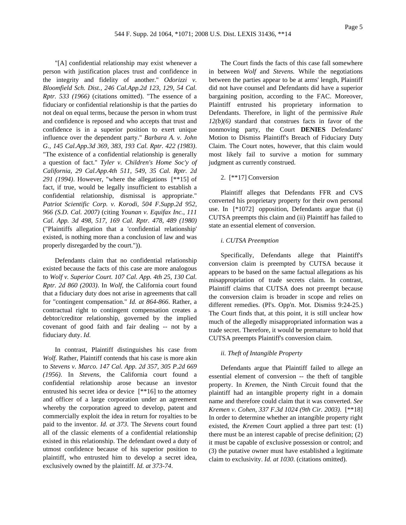"[A] confidential relationship may exist whenever a person with justification places trust and confidence in the integrity and fidelity of another." *Odorizzi v. Bloomfield Sch. Dist., 246 Cal.App.2d 123, 129, 54 Cal. Rptr. 533 (1966)* (citations omitted). "The essence of a fiduciary or confidential relationship is that the parties do not deal on equal terms, because the person in whom trust and confidence is reposed and who accepts that trust and confidence is in a superior position to exert unique influence over the dependent party." *Barbara A. v. John G., 145 Cal.App.3d 369, 383, 193 Cal. Rptr. 422 (1983)*. "The existence of a confidential relationship is generally a question of fact." *Tyler v. Children's Home Soc'y of California, 29 Cal.App.4th 511, 549, 35 Cal. Rptr. 2d 291 (1994)*. However, "where the allegations [\*\*15] of fact, if true, would be legally insufficient to establish a confidential relationship, dismissal is appropriate." *Patriot Scientific Corp. v. Korodi, 504 F.Supp.2d 952, 966 (S.D. Cal. 2007)* (citing *Younan v. Equifax Inc., 111 Cal. App. 3d 498, 517, 169 Cal. Rptr. 478, 489 (1980)* ("Plaintiffs allegation that a 'confidential relationship' existed, is nothing more than a conclusion of law and was properly disregarded by the court.")).

Defendants claim that no confidential relationship existed because the facts of this case are more analogous to *Wolf v. Superior Court. 107 Cal. App. 4th 25, 130 Cal. Rptr. 2d 860 (2003)*. In *Wolf,* the California court found that a fiduciary duty does not arise in agreements that call for "contingent compensation." *Id. at 864-866*. Rather, a contractual right to contingent compensation creates a debtor/creditor relationship, governed by the implied covenant of good faith and fair dealing -- not by a fiduciary duty. *Id.*

In contrast, Plaintiff distinguishes his case from *Wolf.* Rather, Plaintiff contends that his case is more akin to *Stevens v. Marco. 147 Cal. App. 2d 357, 305 P.2d 669 (1956)*. In *Stevens,* the California court found a confidential relationship arose because an investor entrusted his secret idea or device [\*\*16] to the attorney and officer of a large corporation under an agreement whereby the corporation agreed to develop, patent and commercially exploit the idea in return for royalties to be paid to the inventor. *Id. at 373*. The *Stevens* court found all of the classic elements of a confidential relationship existed in this relationship. The defendant owed a duty of utmost confidence because of his superior position to plaintiff, who entrusted him to develop a secret idea, exclusively owned by the plaintiff. *Id. at 373-74*.

The Court finds the facts of this case fall somewhere in between *Wolf* and *Stevens.* While the negotiations between the parties appear to be at arms' length, Plaintiff did not have counsel and Defendants did have a superior bargaining position, according to the FAC. Moreover, Plaintiff entrusted his proprietary information to Defendants. Therefore, in light of the permissive *Rule 12(b)(6)* standard that construes facts in favor of the nonmoving party, the Court **DENIES** Defendants' Motion to Dismiss Plaintiff's Breach of Fiduciary Duty Claim. The Court notes, however, that this claim would most likely fail to survive a motion for summary judgment as currently construed.

# 2. [\*\*17] Conversion

Plaintiff alleges that Defendants FFR and CVS converted his proprietary property for their own personal use. In [\*1072] opposition, Defendants argue that (i) CUTSA preempts this claim and (ii) Plaintiff has failed to state an essential element of conversion.

## *i. CUTSA Preemption*

Specifically, Defendants allege that Plaintiff's conversion claim is preempted by CUTSA because it appears to be based on the same factual allegations as his misappropriation of trade secrets claim. In contrast, Plaintiff claims that CUTSA does not preempt because the conversion claim is broader in scope and relies on different remedies. (Pl's. Opp'n. Mot. Dismiss 9:24-25.) The Court finds that, at this point, it is still unclear how much of the allegedly misappropriated information was a trade secret. Therefore, it would be premature to hold that CUTSA preempts Plaintiff's conversion claim.

#### *ii. Theft of Intangible Property*

Defendants argue that Plaintiff failed to allege an essential element of conversion -- the theft of tangible property. In *Kremen,* the Ninth Circuit found that the plaintiff had an intangible property right in a domain name and therefore could claim that it was converted. *See Kremen v. Cohen, 337 F.3d 1024 (9th Cir. 2003)*. [\*\*18] In order to determine whether an intangible property right existed, the *Kremen* Court applied a three part test: (1) there must be an interest capable of precise definition; (2) it must be capable of exclusive possession or control; and (3) the putative owner must have established a legitimate claim to exclusivity. *Id. at 1030*. (citations omitted).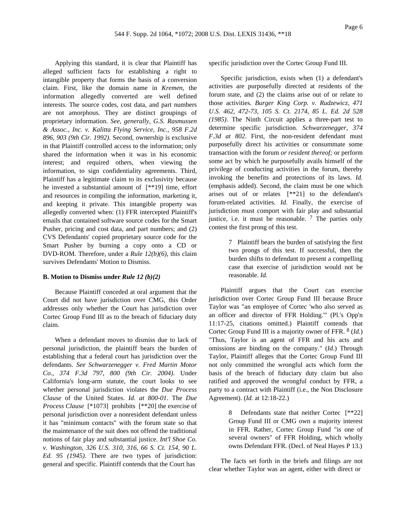Applying this standard, it is clear that Plaintiff has alleged sufficient facts for establishing a right to intangible property that forms the basis of a conversion claim. First, like the domain name in *Kremen,* the information allegedly converted are well defined interests. The source codes, cost data, and part numbers are not amorphous. They are distinct groupings of proprietary information. *See, generally, G.S. Rasmussen & Assoc., Inc. v. Kalitta Flying Service, Inc., 958 F.2d 896, 903 (9th Cir. 1992)*. Second, ownership is exclusive in that Plaintiff controlled access to the information; only shared the information when it was in his economic interest; and required others, when viewing the information, to sign confidentiality agreements. Third, Plaintiff has a legitimate claim to its exclusivity because he invested a substantial amount of [\*\*19] time, effort and resources in compiling the information, marketing it, and keeping it private. This intangible property was allegedly converted when: (1) FFR intercepted Plaintiff's emails that contained software source codes for the Smart Pusher, pricing and cost data, and part numbers; and (2) CVS Defendants' copied proprietary source code for the Smart Pusher by burning a copy onto a CD or DVD-ROM. Therefore, under a *Rule 12(b)(6)*, this claim survives Defendants' Motion to Dismiss.

# **B. Motion to Dismiss under** *Rule 12 (b)(2)*

Because Plaintiff conceded at oral argument that the Court did not have jurisdiction over CMG, this Order addresses only whether the Court has jurisdiction over Cortec Group Fund III as to the breach of fiduciary duty claim.

When a defendant moves to dismiss due to lack of personal jurisdiction, the plaintiff bears the burden of establishing that a federal court has jurisdiction over the defendants. *See Schwarzenegger v. Fred Martin Motor Co., 374 F.3d 797, 800 (9th Cir. 2004)*. Under California's long-arm statute, the court looks to see whether personal jurisdiction violates the *Due Process Clause* of the United States. *Id. at 800-01*. The *Due Process Clause* [\*1073] prohibits [\*\*20] the exercise of personal jurisdiction over a nonresident defendant unless it has "minimum contacts" with the forum state so that the maintenance of the suit does not offend the traditional notions of fair play and substantial justice. *Int'l Shoe Co. v. Washington, 326 U.S. 310, 316, 66 S. Ct. 154, 90 L. Ed. 95 (1945)*. There are two types of jurisdiction: general and specific. Plaintiff contends that the Court has

specific jurisdiction over the Cortec Group Fund III.

Specific jurisdiction, exists when (1) a defendant's activities are purposefully directed at residents of the forum state, and (2) the claims arise out of or relate to those activities. *Burger King Corp. v. Rudzewicz, 471 U.S. 462, 472-73, 105 S. Ct. 2174, 85 L. Ed. 2d 528 (1985)*. The Ninth Circuit applies a three-part test to determine specific jurisdiction. *Schwarzenegger, 374 F.3d at 802*. First, the non-resident defendant must purposefully direct his activities or consummate some transaction with the forum *or resident thereof;* or perform some act by which he purposefully avails himself of the privilege of conducting activities in the forum, thereby invoking the benefits and protections of its laws. *Id.* (emphasis added). Second, the claim must be one which arises out of or relates [\*\*21] to the defendant's forum-related activities. *Id.* Finally, the exercise of jurisdiction must comport with fair play and substantial justice, i.e. it must be reasonable.  $7$  The parties only contest the first prong of this test.

> 7 Plaintiff bears the burden of satisfying the first two prongs of this test. If successful, then the burden shifts to defendant to present a compelling case that exercise of jurisdiction would not be reasonable. *Id.*

Plaintiff argues that the Court can exercise jurisdiction over Cortec Group Fund III because Bruce Taylor was "an employee of Cortec 'who also served as an officer and director of FFR Holding.'" (Pl.'s Opp'n 11:17-25, citations omitted.) Plaintiff contends that Cortec Group Fund III is a majority owner of FFR. 8 (*Id.*) "Thus, Taylor is an agent of FFR and his acts and omissions are binding on the company." (*Id.*) Through Taylor, Plaintiff alleges that the Cortec Group Fund III not only committed the wrongful acts which form the basis of the breach of fiduciary duty claim but also ratified and approved the wrongful conduct by FFR, a party to a contract with Plaintiff (i.e., the Non Disclosure Agreement). (*Id.* at 12:18-22.)

> 8 Defendants state that neither Cortec [\*\*22] Group Fund III or CMG own a majority interest in FFR. Rather, Cortec Group Fund "is one of several owners" of FFR Holding, which wholly owns Defendant FFR. (Decl. of Neal Hayes P 13.)

The facts set forth in the briefs and filings are not clear whether Taylor was an agent, either with direct or